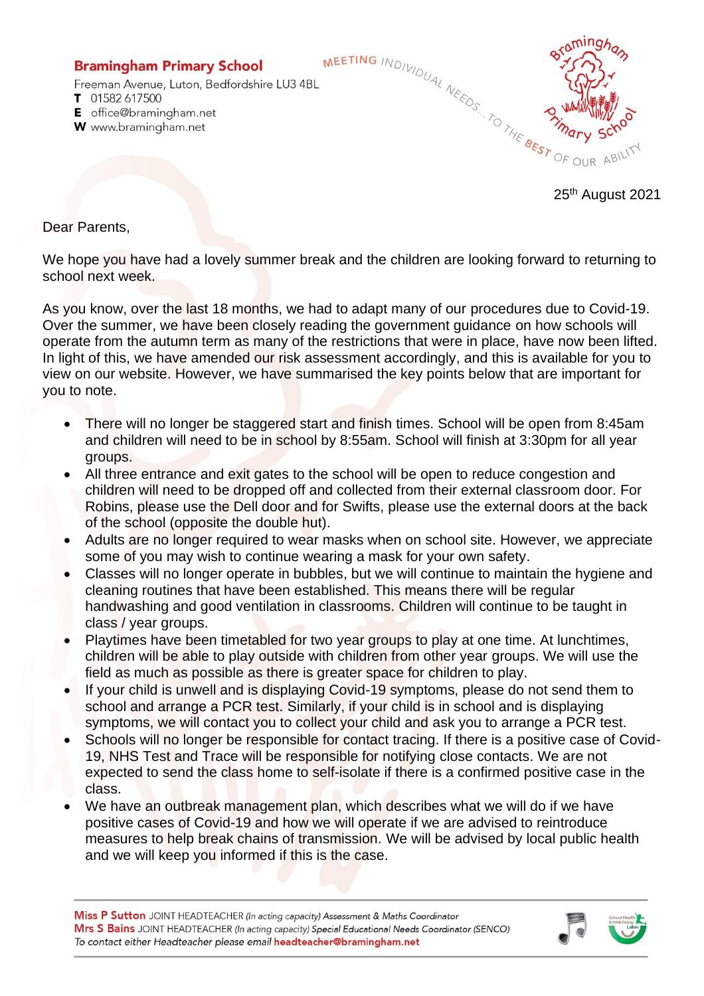## **Bramingham Primary School**

Freeman Avenue, Luton, Bedfordshire LU3 4BL T 01582 617500 E office@bramingham.net

W www.bramingham.net



Dear Parents,

We hope you have had a lovely summer break and the children are looking forward to returning to school next week.

As you know, over the last 18 months, we had to adapt many of our procedures due to Covid-19. Over the summer, we have been closely reading the government guidance on how schools will operate from the autumn term as many of the restrictions that were in place, have now been lifted. In light of this, we have amended our risk assessment accordingly, and this is available for you to view on our website. However, we have summarised the key points below that are important for you to note.

- There will no longer be staggered start and finish times. School will be open from 8:45am and children will need to be in school by 8:55am. School will finish at 3:30pm for all year groups.
- All three entrance and exit gates to the school will be open to reduce congestion and children will need to be dropped off and collected from their external classroom door. For Robins, please use the Dell door and for Swifts, please use the external doors at the back of the school (opposite the double hut).
- Adults are no longer required to wear masks when on school site. However, we appreciate some of you may wish to continue wearing a mask for your own safety.
- Classes will no longer operate in bubbles, but we will continue to maintain the hygiene and cleaning routines that have been established. This means there will be regular handwashing and good ventilation in classrooms. Children will continue to be taught in class / year groups.
- Playtimes have been timetabled for two year groups to play at one time. At lunchtimes, children will be able to play outside with children from other year groups. We will use the field as much as possible as there is greater space for children to play.
- If your child is unwell and is displaying Covid-19 symptoms, please do not send them to school and arrange a PCR test. Similarly, if your child is in school and is displaying symptoms, we will contact you to collect your child and ask you to arrange a PCR test.
- Schools will no longer be responsible for contact tracing. If there is a positive case of Covid-19, NHS Test and Trace will be responsible for notifying close contacts. We are not expected to send the class home to self-isolate if there is a confirmed positive case in the class.
- We have an outbreak management plan, which describes what we will do if we have positive cases of Covid-19 and how we will operate if we are advised to reintroduce measures to help break chains of transmission. We will be advised by local public health and we will keep you informed if this is the case.